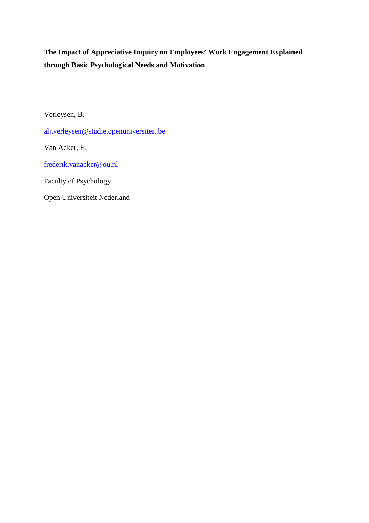# **The Impact of Appreciative Inquiry on Employees' Work Engagement Explained through Basic Psychological Needs and Motivation**

Verleysen, B.

alj.verleysen@studie.openuniversiteit.be

Van Acker, F.

frederik.vanacker@ou.nl

Faculty of Psychology

Open Universiteit Nederland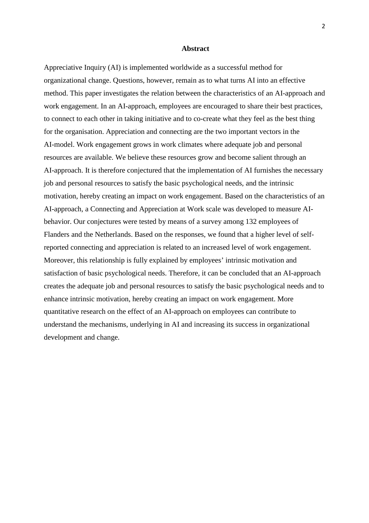#### **Abstract**

Appreciative Inquiry (AI) is implemented worldwide as a successful method for organizational change. Questions, however, remain as to what turns AI into an effective method. This paper investigates the relation between the characteristics of an AI-approach and work engagement. In an AI-approach, employees are encouraged to share their best practices, to connect to each other in taking initiative and to co-create what they feel as the best thing for the organisation. Appreciation and connecting are the two important vectors in the AI-model. Work engagement grows in work climates where adequate job and personal resources are available. We believe these resources grow and become salient through an AI-approach. It is therefore conjectured that the implementation of AI furnishes the necessary job and personal resources to satisfy the basic psychological needs, and the intrinsic motivation, hereby creating an impact on work engagement. Based on the characteristics of an AI-approach, a Connecting and Appreciation at Work scale was developed to measure AIbehavior. Our conjectures were tested by means of a survey among 132 employees of Flanders and the Netherlands. Based on the responses, we found that a higher level of selfreported connecting and appreciation is related to an increased level of work engagement. Moreover, this relationship is fully explained by employees' intrinsic motivation and satisfaction of basic psychological needs. Therefore, it can be concluded that an AI-approach creates the adequate job and personal resources to satisfy the basic psychological needs and to enhance intrinsic motivation, hereby creating an impact on work engagement. More quantitative research on the effect of an AI-approach on employees can contribute to understand the mechanisms, underlying in AI and increasing its success in organizational development and change.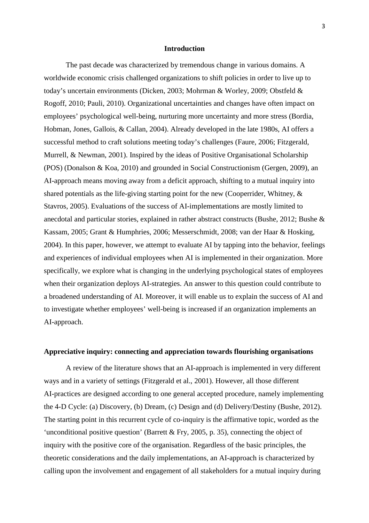#### **Introduction**

The past decade was characterized by tremendous change in various domains. A worldwide economic crisis challenged organizations to shift policies in order to live up to today's uncertain environments (Dicken, 2003; Mohrman & Worley, 2009; Obstfeld & Rogoff, 2010; Pauli, 2010). Organizational uncertainties and changes have often impact on employees' psychological well-being, nurturing more uncertainty and more stress (Bordia, Hobman, Jones, Gallois, & Callan, 2004). Already developed in the late 1980s, AI offers a successful method to craft solutions meeting today's challenges (Faure, 2006; Fitzgerald, Murrell, & Newman, 2001). Inspired by the ideas of Positive Organisational Scholarship (POS) (Donalson & Koa, 2010) and grounded in Social Constructionism (Gergen, 2009), an AI-approach means moving away from a deficit approach, shifting to a mutual inquiry into shared potentials as the life-giving starting point for the new (Cooperrider, Whitney,  $\&$ Stavros, 2005). Evaluations of the success of AI-implementations are mostly limited to anecdotal and particular stories, explained in rather abstract constructs (Bushe, 2012; Bushe & Kassam, 2005; Grant & Humphries, 2006; Messerschmidt, 2008; van der Haar & Hosking, 2004). In this paper, however, we attempt to evaluate AI by tapping into the behavior, feelings and experiences of individual employees when AI is implemented in their organization. More specifically, we explore what is changing in the underlying psychological states of employees when their organization deploys AI-strategies. An answer to this question could contribute to a broadened understanding of AI. Moreover, it will enable us to explain the success of AI and to investigate whether employees' well-being is increased if an organization implements an AI-approach.

## **Appreciative inquiry: connecting and appreciation towards flourishing organisations**

A review of the literature shows that an AI-approach is implemented in very different ways and in a variety of settings (Fitzgerald et al., 2001). However, all those different AI-practices are designed according to one general accepted procedure, namely implementing the 4-D Cycle: (a) Discovery, (b) Dream, (c) Design and (d) Delivery/Destiny (Bushe, 2012). The starting point in this recurrent cycle of co-inquiry is the affirmative topic, worded as the 'unconditional positive question' (Barrett & Fry, 2005, p. 35), connecting the object of inquiry with the positive core of the organisation. Regardless of the basic principles, the theoretic considerations and the daily implementations, an AI-approach is characterized by calling upon the involvement and engagement of all stakeholders for a mutual inquiry during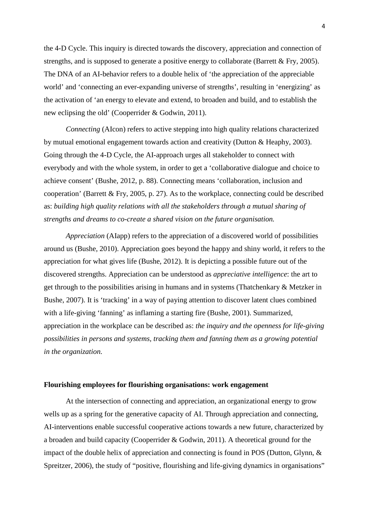the 4-D Cycle. This inquiry is directed towards the discovery, appreciation and connection of strengths, and is supposed to generate a positive energy to collaborate (Barrett & Fry, 2005). The DNA of an AI-behavior refers to a double helix of 'the appreciation of the appreciable world' and 'connecting an ever-expanding universe of strengths', resulting in 'energizing' as the activation of 'an energy to elevate and extend, to broaden and build, and to establish the new eclipsing the old' (Cooperrider & Godwin, 2011).

*Connecting* (AIcon) refers to active stepping into high quality relations characterized by mutual emotional engagement towards action and creativity (Dutton & Heaphy, 2003). Going through the 4-D Cycle, the AI-approach urges all stakeholder to connect with everybody and with the whole system, in order to get a 'collaborative dialogue and choice to achieve consent' (Bushe, 2012, p. 88). Connecting means 'collaboration, inclusion and cooperation' (Barrett & Fry, 2005, p. 27). As to the workplace, connecting could be described as: *building high quality relations with all the stakeholders through a mutual sharing of strengths and dreams to co-create a shared vision on the future organisation.*

*Appreciation* (AIapp) refers to the appreciation of a discovered world of possibilities around us (Bushe, 2010). Appreciation goes beyond the happy and shiny world, it refers to the appreciation for what gives life (Bushe, 2012). It is depicting a possible future out of the discovered strengths. Appreciation can be understood as *appreciative intelligence*: the art to get through to the possibilities arising in humans and in systems (Thatchenkary & Metzker in Bushe, 2007). It is 'tracking' in a way of paying attention to discover latent clues combined with a life-giving 'fanning' as inflaming a starting fire (Bushe, 2001). Summarized, appreciation in the workplace can be described as: *the inquiry and the openness for life-giving possibilities in persons and systems, tracking them and fanning them as a growing potential in the organization.*

## **Flourishing employees for flourishing organisations: work engagement**

At the intersection of connecting and appreciation, an organizational energy to grow wells up as a spring for the generative capacity of AI. Through appreciation and connecting, AI-interventions enable successful cooperative actions towards a new future, characterized by a broaden and build capacity (Cooperrider & Godwin, 2011). A theoretical ground for the impact of the double helix of appreciation and connecting is found in POS (Dutton, Glynn, & Spreitzer, 2006), the study of "positive, flourishing and life-giving dynamics in organisations"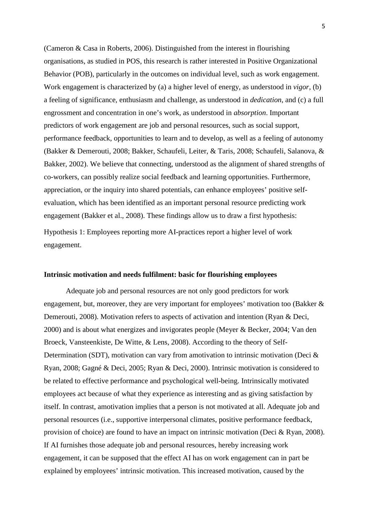(Cameron & Casa in Roberts, 2006). Distinguished from the interest in flourishing organisations, as studied in POS, this research is rather interested in Positive Organizational Behavior (POB), particularly in the outcomes on individual level, such as work engagement. Work engagement is characterized by (a) a higher level of energy, as understood in *vigor*, (b) a feeling of significance, enthusiasm and challenge, as understood in *dedication*, and (c) a full engrossment and concentration in one's work, as understood in *absorption*. Important predictors of work engagement are job and personal resources, such as social support, performance feedback, opportunities to learn and to develop, as well as a feeling of autonomy (Bakker & Demerouti, 2008; Bakker, Schaufeli, Leiter, & Taris, 2008; Schaufeli, Salanova, & Bakker, 2002). We believe that connecting, understood as the alignment of shared strengths of co-workers, can possibly realize social feedback and learning opportunities. Furthermore, appreciation, or the inquiry into shared potentials, can enhance employees' positive selfevaluation, which has been identified as an important personal resource predicting work engagement (Bakker et al., 2008). These findings allow us to draw a first hypothesis:

Hypothesis 1: Employees reporting more AI-practices report a higher level of work engagement.

## **Intrinsic motivation and needs fulfilment: basic for flourishing employees**

Adequate job and personal resources are not only good predictors for work engagement, but, moreover, they are very important for employees' motivation too (Bakker & Demerouti, 2008). Motivation refers to aspects of activation and intention (Ryan & Deci, 2000) and is about what energizes and invigorates people (Meyer & Becker, 2004; Van den Broeck, Vansteenkiste, De Witte, & Lens, 2008). According to the theory of Self-Determination (SDT), motivation can vary from amotivation to intrinsic motivation (Deci & Ryan, 2008; Gagné & Deci, 2005; Ryan & Deci, 2000). Intrinsic motivation is considered to be related to effective performance and psychological well-being. Intrinsically motivated employees act because of what they experience as interesting and as giving satisfaction by itself. In contrast, amotivation implies that a person is not motivated at all. Adequate job and personal resources (i.e., supportive interpersonal climates, positive performance feedback, provision of choice) are found to have an impact on intrinsic motivation (Deci & Ryan, 2008). If AI furnishes those adequate job and personal resources, hereby increasing work engagement, it can be supposed that the effect AI has on work engagement can in part be explained by employees' intrinsic motivation. This increased motivation, caused by the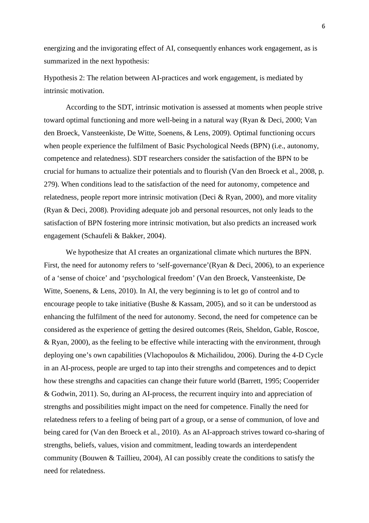energizing and the invigorating effect of AI, consequently enhances work engagement, as is summarized in the next hypothesis:

Hypothesis 2: The relation between AI-practices and work engagement, is mediated by intrinsic motivation.

According to the SDT, intrinsic motivation is assessed at moments when people strive toward optimal functioning and more well-being in a natural way (Ryan & Deci, 2000; Van den Broeck, Vansteenkiste, De Witte, Soenens, & Lens, 2009). Optimal functioning occurs when people experience the fulfilment of Basic Psychological Needs (BPN) (i.e., autonomy, competence and relatedness). SDT researchers consider the satisfaction of the BPN to be crucial for humans to actualize their potentials and to flourish (Van den Broeck et al., 2008, p. 279). When conditions lead to the satisfaction of the need for autonomy, competence and relatedness, people report more intrinsic motivation (Deci & Ryan, 2000), and more vitality (Ryan & Deci, 2008). Providing adequate job and personal resources, not only leads to the satisfaction of BPN fostering more intrinsic motivation, but also predicts an increased work engagement (Schaufeli & Bakker, 2004).

We hypothesize that AI creates an organizational climate which nurtures the BPN. First, the need for autonomy refers to 'self-governance'(Ryan & Deci, 2006), to an experience of a 'sense of choice' and 'psychological freedom' (Van den Broeck, Vansteenkiste, De Witte, Soenens, & Lens, 2010). In AI, the very beginning is to let go of control and to encourage people to take initiative (Bushe & Kassam, 2005), and so it can be understood as enhancing the fulfilment of the need for autonomy. Second, the need for competence can be considered as the experience of getting the desired outcomes (Reis, Sheldon, Gable, Roscoe, & Ryan, 2000), as the feeling to be effective while interacting with the environment, through deploying one's own capabilities (Vlachopoulos & Michailidou, 2006). During the 4-D Cycle in an AI-process, people are urged to tap into their strengths and competences and to depict how these strengths and capacities can change their future world (Barrett, 1995; Cooperrider & Godwin, 2011). So, during an AI-process, the recurrent inquiry into and appreciation of strengths and possibilities might impact on the need for competence. Finally the need for relatedness refers to a feeling of being part of a group, or a sense of communion, of love and being cared for (Van den Broeck et al., 2010). As an AI-approach strives toward co-sharing of strengths, beliefs, values, vision and commitment, leading towards an interdependent community (Bouwen & Taillieu, 2004), AI can possibly create the conditions to satisfy the need for relatedness.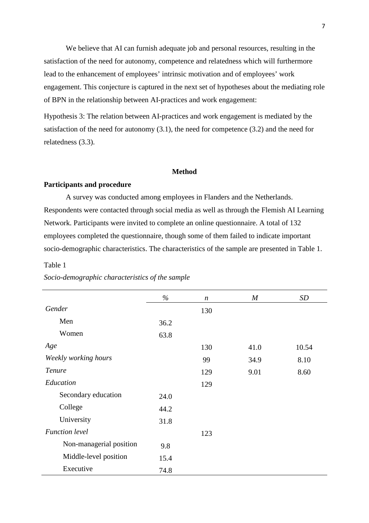We believe that AI can furnish adequate job and personal resources, resulting in the satisfaction of the need for autonomy, competence and relatedness which will furthermore lead to the enhancement of employees' intrinsic motivation and of employees' work engagement. This conjecture is captured in the next set of hypotheses about the mediating role of BPN in the relationship between AI-practices and work engagement:

Hypothesis 3: The relation between AI-practices and work engagement is mediated by the satisfaction of the need for autonomy (3.1), the need for competence (3.2) and the need for relatedness (3.3).

## **Method**

## **Participants and procedure**

A survey was conducted among employees in Flanders and the Netherlands. Respondents were contacted through social media as well as through the Flemish AI Learning Network. Participants were invited to complete an online questionnaire. A total of 132 employees completed the questionnaire, though some of them failed to indicate important socio-demographic characteristics. The characteristics of the sample are presented in Table 1.

#### Table 1

|                         | $\%$ | $\boldsymbol{n}$ | M    | SD    |
|-------------------------|------|------------------|------|-------|
| Gender                  |      | 130              |      |       |
| Men                     | 36.2 |                  |      |       |
| Women                   | 63.8 |                  |      |       |
| Age                     |      | 130              | 41.0 | 10.54 |
| Weekly working hours    |      | 99               | 34.9 | 8.10  |
| Tenure                  |      | 129              | 9.01 | 8.60  |
| Education               |      | 129              |      |       |
| Secondary education     | 24.0 |                  |      |       |
| College                 | 44.2 |                  |      |       |
| University              | 31.8 |                  |      |       |
| <b>Function</b> level   |      | 123              |      |       |
| Non-managerial position | 9.8  |                  |      |       |
| Middle-level position   | 15.4 |                  |      |       |
| Executive               | 74.8 |                  |      |       |

*Socio-demographic characteristics of the sample*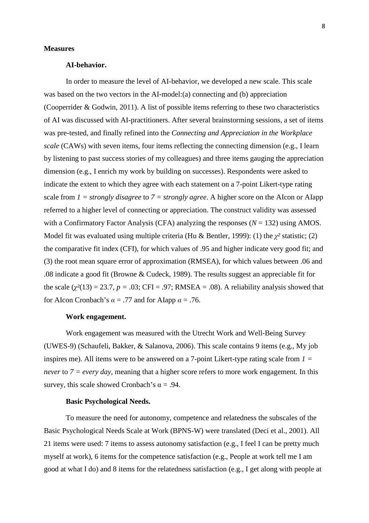#### **Measures**

## **AI-behavior.**

In order to measure the level of AI-behavior, we developed a new scale. This scale was based on the two vectors in the AI-model:(a) connecting and (b) appreciation (Cooperrider & Godwin, 2011). A list of possible items referring to these two characteristics of AI was discussed with AI-practitioners. After several brainstorming sessions, a set of items was pre-tested, and finally refined into the *Connecting and Appreciation in the Workplace scale* (CAWs) with seven items, four items reflecting the connecting dimension (e.g., I learn by listening to past success stories of my colleagues) and three items gauging the appreciation dimension (e.g., I enrich my work by building on successes). Respondents were asked to indicate the extent to which they agree with each statement on a 7-point Likert-type rating scale from *1 = strongly disagree* to *7 = strongly agree*. A higher score on the AIcon or AIapp referred to a higher level of connecting or appreciation. The construct validity was assessed with a Confirmatory Factor Analysis (CFA) analyzing the responses  $(N = 132)$  using AMOS. Model fit was evaluated using multiple criteria (Hu & Bentler, 1999): (1) the χ*²* statistic; (2) the comparative fit index (CFI), for which values of .95 and higher indicate very good fit; and (3) the root mean square error of approximation (RMSEA), for which values between .06 and .08 indicate a good fit (Browne & Cudeck, 1989). The results suggest an appreciable fit for the scale  $(\chi^2(13) = 23.7, p = .03; CFI = .97; RMSEA = .08)$ . A reliability analysis showed that for AIcon Cronbach's  $\alpha = .77$  and for AIapp  $\alpha = .76$ .

## **Work engagement.**

Work engagement was measured with the Utrecht Work and Well-Being Survey (UWES-9) (Schaufeli, Bakker, & Salanova, 2006). This scale contains 9 items (e.g., My job inspires me). All items were to be answered on a 7-point Likert-type rating scale from *1 = never* to *7 = every day*, meaning that a higher score refers to more work engagement*.* In this survey, this scale showed Cronbach's  $\alpha = .94$ .

## **Basic Psychological Needs.**

To measure the need for autonomy, competence and relatedness the subscales of the Basic Psychological Needs Scale at Work (BPNS-W) were translated (Deci et al., 2001). All 21 items were used: 7 items to assess autonomy satisfaction (e.g., I feel I can be pretty much myself at work), 6 items for the competence satisfaction (e.g., People at work tell me I am good at what I do) and 8 items for the relatedness satisfaction (e.g., I get along with people at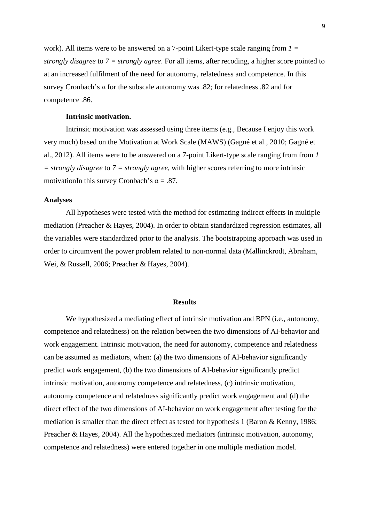work). All items were to be answered on a 7-point Likert-type scale ranging from *1 = strongly disagree* to *7 = strongly agree*. For all items, after recoding, a higher score pointed to at an increased fulfilment of the need for autonomy, relatedness and competence. In this survey Cronbach's  $\alpha$  for the subscale autonomy was .82; for relatedness .82 and for competence .86.

## **Intrinsic motivation.**

Intrinsic motivation was assessed using three items (e.g., Because I enjoy this work very much) based on the Motivation at Work Scale (MAWS) (Gagné et al., 2010; Gagné et al., 2012). All items were to be answered on a 7-point Likert-type scale ranging from from *1 = strongly disagree* to *7 = strongly agree*, with higher scores referring to more intrinsic motivationIn this survey Cronbach's  $\alpha = .87$ .

### **Analyses**

All hypotheses were tested with the method for estimating indirect effects in multiple mediation (Preacher & Hayes, 2004). In order to obtain standardized regression estimates, all the variables were standardized prior to the analysis. The bootstrapping approach was used in order to circumvent the power problem related to non-normal data (Mallinckrodt, Abraham, Wei, & Russell, 2006; Preacher & Hayes, 2004).

#### **Results**

We hypothesized a mediating effect of intrinsic motivation and BPN (i.e., autonomy, competence and relatedness) on the relation between the two dimensions of AI-behavior and work engagement. Intrinsic motivation, the need for autonomy, competence and relatedness can be assumed as mediators, when: (a) the two dimensions of AI-behavior significantly predict work engagement, (b) the two dimensions of AI-behavior significantly predict intrinsic motivation, autonomy competence and relatedness, (c) intrinsic motivation, autonomy competence and relatedness significantly predict work engagement and (d) the direct effect of the two dimensions of AI-behavior on work engagement after testing for the mediation is smaller than the direct effect as tested for hypothesis 1 (Baron & Kenny, 1986; Preacher & Hayes, 2004). All the hypothesized mediators (intrinsic motivation, autonomy, competence and relatedness) were entered together in one multiple mediation model.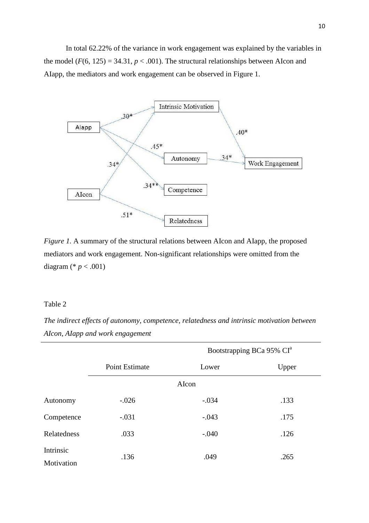In total 62.22% of the variance in work engagement was explained by the variables in the model  $(F(6, 125) = 34.31, p < .001)$ . The structural relationships between AIcon and AIapp, the mediators and work engagement can be observed in Figure 1.



*Figure 1.* A summary of the structural relations between AIcon and AIapp, the proposed mediators and work engagement. Non-significant relationships were omitted from the diagram (\* *p* < .001)

## Table 2

*The indirect effects of autonomy, competence, relatedness and intrinsic motivation between AIcon, AIapp and work engagement* 

|                         | Bootstrapping BCa 95% CI <sup>a</sup> |         |       |  |  |  |
|-------------------------|---------------------------------------|---------|-------|--|--|--|
|                         | <b>Point Estimate</b>                 | Lower   | Upper |  |  |  |
|                         | AIcon                                 |         |       |  |  |  |
| Autonomy                | $-.026$                               | $-.034$ | .133  |  |  |  |
| Competence              | $-.031$                               | $-.043$ | .175  |  |  |  |
| Relatedness             | .033                                  | $-.040$ | .126  |  |  |  |
| Intrinsic<br>Motivation | .136                                  | .049    | .265  |  |  |  |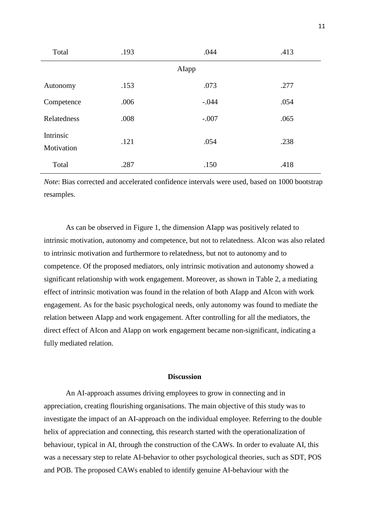| Total                   | .193 | .044    | .413 |  |  |  |
|-------------------------|------|---------|------|--|--|--|
| AIapp                   |      |         |      |  |  |  |
| Autonomy                | .153 | .073    | .277 |  |  |  |
| Competence              | .006 | $-.044$ | .054 |  |  |  |
| Relatedness             | .008 | $-.007$ | .065 |  |  |  |
| Intrinsic<br>Motivation | .121 | .054    | .238 |  |  |  |
| Total                   | .287 | .150    | .418 |  |  |  |

*Note*: Bias corrected and accelerated confidence intervals were used, based on 1000 bootstrap resamples.

As can be observed in Figure 1, the dimension AIapp was positively related to intrinsic motivation, autonomy and competence, but not to relatedness. AIcon was also related to intrinsic motivation and furthermore to relatedness, but not to autonomy and to competence. Of the proposed mediators, only intrinsic motivation and autonomy showed a significant relationship with work engagement. Moreover, as shown in Table 2, a mediating effect of intrinsic motivation was found in the relation of both AIapp and AIcon with work engagement. As for the basic psychological needs, only autonomy was found to mediate the relation between AIapp and work engagement. After controlling for all the mediators, the direct effect of AIcon and AIapp on work engagement became non-significant, indicating a fully mediated relation.

## **Discussion**

An AI-approach assumes driving employees to grow in connecting and in appreciation, creating flourishing organisations. The main objective of this study was to investigate the impact of an AI-approach on the individual employee. Referring to the double helix of appreciation and connecting, this research started with the operationalization of behaviour, typical in AI, through the construction of the CAWs. In order to evaluate AI, this was a necessary step to relate AI-behavior to other psychological theories, such as SDT, POS and POB. The proposed CAWs enabled to identify genuine AI-behaviour with the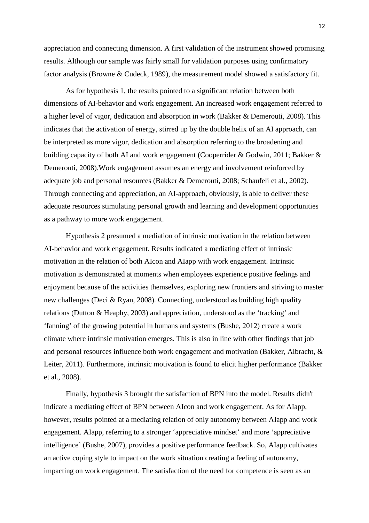appreciation and connecting dimension. A first validation of the instrument showed promising results. Although our sample was fairly small for validation purposes using confirmatory factor analysis (Browne & Cudeck, 1989), the measurement model showed a satisfactory fit.

As for hypothesis 1, the results pointed to a significant relation between both dimensions of AI-behavior and work engagement. An increased work engagement referred to a higher level of vigor, dedication and absorption in work (Bakker & Demerouti, 2008). This indicates that the activation of energy, stirred up by the double helix of an AI approach, can be interpreted as more vigor, dedication and absorption referring to the broadening and building capacity of both AI and work engagement (Cooperrider & Godwin, 2011; Bakker & Demerouti, 2008).Work engagement assumes an energy and involvement reinforced by adequate job and personal resources (Bakker & Demerouti, 2008; Schaufeli et al., 2002). Through connecting and appreciation, an AI-approach, obviously, is able to deliver these adequate resources stimulating personal growth and learning and development opportunities as a pathway to more work engagement.

Hypothesis 2 presumed a mediation of intrinsic motivation in the relation between AI-behavior and work engagement. Results indicated a mediating effect of intrinsic motivation in the relation of both AIcon and AIapp with work engagement. Intrinsic motivation is demonstrated at moments when employees experience positive feelings and enjoyment because of the activities themselves, exploring new frontiers and striving to master new challenges (Deci & Ryan, 2008). Connecting, understood as building high quality relations (Dutton & Heaphy, 2003) and appreciation, understood as the 'tracking' and 'fanning' of the growing potential in humans and systems (Bushe, 2012) create a work climate where intrinsic motivation emerges. This is also in line with other findings that job and personal resources influence both work engagement and motivation (Bakker, Albracht, & Leiter, 2011). Furthermore, intrinsic motivation is found to elicit higher performance (Bakker et al., 2008).

Finally, hypothesis 3 brought the satisfaction of BPN into the model. Results didn't indicate a mediating effect of BPN between AIcon and work engagement. As for AIapp, however, results pointed at a mediating relation of only autonomy between AIapp and work engagement. AIapp, referring to a stronger 'appreciative mindset' and more 'appreciative intelligence' (Bushe, 2007), provides a positive performance feedback. So, AIapp cultivates an active coping style to impact on the work situation creating a feeling of autonomy, impacting on work engagement. The satisfaction of the need for competence is seen as an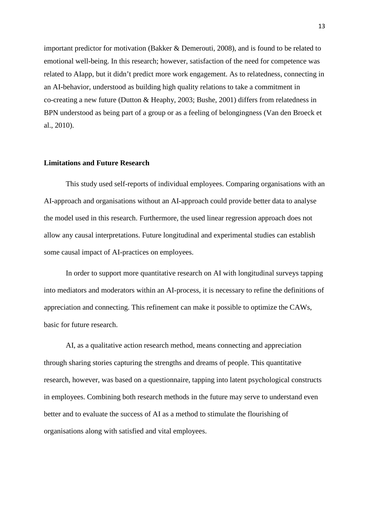important predictor for motivation (Bakker & Demerouti, 2008), and is found to be related to emotional well-being. In this research; however, satisfaction of the need for competence was related to AIapp, but it didn't predict more work engagement. As to relatedness, connecting in an AI-behavior, understood as building high quality relations to take a commitment in co-creating a new future (Dutton & Heaphy, 2003; Bushe, 2001) differs from relatedness in BPN understood as being part of a group or as a feeling of belongingness (Van den Broeck et al., 2010).

## **Limitations and Future Research**

This study used self-reports of individual employees. Comparing organisations with an AI-approach and organisations without an AI-approach could provide better data to analyse the model used in this research. Furthermore, the used linear regression approach does not allow any causal interpretations. Future longitudinal and experimental studies can establish some causal impact of AI-practices on employees.

In order to support more quantitative research on AI with longitudinal surveys tapping into mediators and moderators within an AI-process, it is necessary to refine the definitions of appreciation and connecting. This refinement can make it possible to optimize the CAWs, basic for future research.

AI, as a qualitative action research method, means connecting and appreciation through sharing stories capturing the strengths and dreams of people. This quantitative research, however, was based on a questionnaire, tapping into latent psychological constructs in employees. Combining both research methods in the future may serve to understand even better and to evaluate the success of AI as a method to stimulate the flourishing of organisations along with satisfied and vital employees.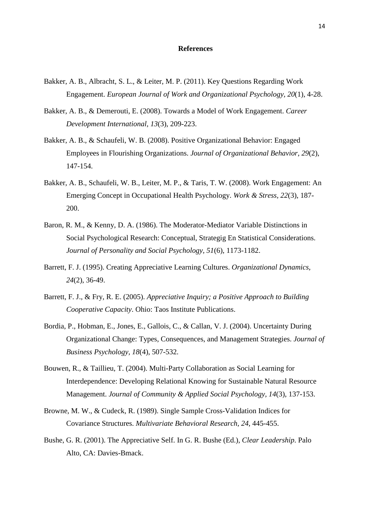#### **References**

- Bakker, A. B., Albracht, S. L., & Leiter, M. P. (2011). Key Questions Regarding Work Engagement. *European Journal of Work and Organizational Psychology, 20*(1), 4-28.
- Bakker, A. B., & Demerouti, E. (2008). Towards a Model of Work Engagement. *Career Development International, 13*(3), 209-223.
- Bakker, A. B., & Schaufeli, W. B. (2008). Positive Organizational Behavior: Engaged Employees in Flourishing Organizations. *Journal of Organizational Behavior, 29*(2), 147-154.
- Bakker, A. B., Schaufeli, W. B., Leiter, M. P., & Taris, T. W. (2008). Work Engagement: An Emerging Concept in Occupational Health Psychology. *Work & Stress, 22*(3), 187- 200.
- Baron, R. M., & Kenny, D. A. (1986). The Moderator-Mediator Variable Distinctions in Social Psychological Research: Conceptual, Strategig En Statistical Considerations. *Journal of Personality and Social Psychology, 51*(6), 1173-1182.
- Barrett, F. J. (1995). Creating Appreciative Learning Cultures. *Organizational Dynamics, 24*(2), 36-49.
- Barrett, F. J., & Fry, R. E. (2005). *Appreciative Inquiry; a Positive Approach to Building Cooperative Capacity*. Ohio: Taos Institute Publications.
- Bordia, P., Hobman, E., Jones, E., Gallois, C., & Callan, V. J. (2004). Uncertainty During Organizational Change: Types, Consequences, and Management Strategies. *Journal of Business Psychology, 18*(4), 507-532.
- Bouwen, R., & Taillieu, T. (2004). Multi-Party Collaboration as Social Learning for Interdependence: Developing Relational Knowing for Sustainable Natural Resource Management. *Journal of Community & Applied Social Psychology, 14*(3), 137-153.
- Browne, M. W., & Cudeck, R. (1989). Single Sample Cross-Validation Indices for Covariance Structures. *Multivariate Behavioral Research, 24*, 445-455.
- Bushe, G. R. (2001). The Appreciative Self. In G. R. Bushe (Ed.), *Clear Leadership*. Palo Alto, CA: Davies-Bmack.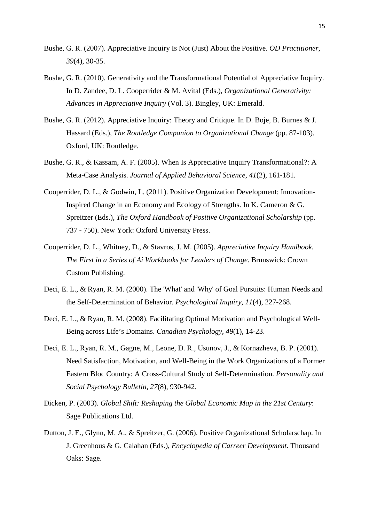- Bushe, G. R. (2007). Appreciative Inquiry Is Not (Just) About the Positive. *OD Practitioner, 39*(4), 30-35.
- Bushe, G. R. (2010). Generativity and the Transformational Potential of Appreciative Inquiry. In D. Zandee, D. L. Cooperrider & M. Avital (Eds.), *Organizational Generativity: Advances in Appreciative Inquiry* (Vol. 3). Bingley, UK: Emerald.
- Bushe, G. R. (2012). Appreciative Inquiry: Theory and Critique. In D. Boje, B. Burnes & J. Hassard (Eds.), *The Routledge Companion to Organizational Change* (pp. 87-103). Oxford, UK: Routledge.
- Bushe, G. R., & Kassam, A. F. (2005). When Is Appreciative Inquiry Transformational?: A Meta-Case Analysis. *Journal of Applied Behavioral Science, 41*(2), 161-181.
- Cooperrider, D. L., & Godwin, L. (2011). Positive Organization Development: Innovation-Inspired Change in an Economy and Ecology of Strengths. In K. Cameron & G. Spreitzer (Eds.), *The Oxford Handbook of Positive Organizational Scholarship* (pp. 737 - 750). New York: Oxford University Press.
- Cooperrider, D. L., Whitney, D., & Stavros, J. M. (2005). *Appreciative Inquiry Handbook. The First in a Series of Ai Workbooks for Leaders of Change*. Brunswick: Crown Custom Publishing.
- Deci, E. L., & Ryan, R. M. (2000). The 'What' and 'Why' of Goal Pursuits: Human Needs and the Self-Determination of Behavior. *Psychological Inquiry, 11*(4), 227-268.
- Deci, E. L., & Ryan, R. M. (2008). Facilitating Optimal Motivation and Psychological Well-Being across Life's Domains. *Canadian Psychology, 49*(1), 14-23.
- Deci, E. L., Ryan, R. M., Gagne, M., Leone, D. R., Usunov, J., & Kornazheva, B. P. (2001). Need Satisfaction, Motivation, and Well-Being in the Work Organizations of a Former Eastern Bloc Country: A Cross-Cultural Study of Self-Determination. *Personality and Social Psychology Bulletin, 27*(8), 930-942.
- Dicken, P. (2003). *Global Shift: Reshaping the Global Economic Map in the 21st Century*: Sage Publications Ltd.
- Dutton, J. E., Glynn, M. A., & Spreitzer, G. (2006). Positive Organizational Scholarschap. In J. Greenhous & G. Calahan (Eds.), *Encyclopedia of Carreer Development*. Thousand Oaks: Sage.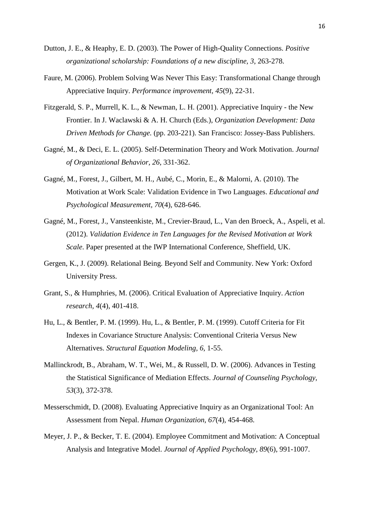- Dutton, J. E., & Heaphy, E. D. (2003). The Power of High-Quality Connections. *Positive organizational scholarship: Foundations of a new discipline, 3*, 263-278.
- Faure, M. (2006). Problem Solving Was Never This Easy: Transformational Change through Appreciative Inquiry. *Performance improvement, 45*(9), 22-31.
- Fitzgerald, S. P., Murrell, K. L., & Newman, L. H. (2001). Appreciative Inquiry the New Frontier. In J. Waclawski & A. H. Church (Eds.), *Organization Development: Data Driven Methods for Change.* (pp. 203-221). San Francisco: Jossey-Bass Publishers.
- Gagné, M., & Deci, E. L. (2005). Self-Determination Theory and Work Motivation. *Journal of Organizational Behavior, 26*, 331-362.
- Gagné, M., Forest, J., Gilbert, M. H., Aubé, C., Morin, E., & Malorni, A. (2010). The Motivation at Work Scale: Validation Evidence in Two Languages. *Educational and Psychological Measurement, 70*(4), 628-646.
- Gagné, M., Forest, J., Vansteenkiste, M., Crevier-Braud, L., Van den Broeck, A., Aspeli, et al. (2012). *Validation Evidence in Ten Languages for the Revised Motivation at Work Scale*. Paper presented at the IWP International Conference, Sheffield, UK.
- Gergen, K., J. (2009). Relational Being. Beyond Self and Community. New York: Oxford University Press.
- Grant, S., & Humphries, M. (2006). Critical Evaluation of Appreciative Inquiry. *Action research, 4*(4), 401-418.
- Hu, L., & Bentler, P. M. (1999). Hu, L., & Bentler, P. M. (1999). Cutoff Criteria for Fit Indexes in Covariance Structure Analysis: Conventional Criteria Versus New Alternatives. *Structural Equation Modeling, 6,* 1-55.
- Mallinckrodt, B., Abraham, W. T., Wei, M., & Russell, D. W. (2006). Advances in Testing the Statistical Significance of Mediation Effects. *Journal of Counseling Psychology, 53*(3), 372-378.
- Messerschmidt, D. (2008). Evaluating Appreciative Inquiry as an Organizational Tool: An Assessment from Nepal. *Human Organization, 67*(4), 454-468.
- Meyer, J. P., & Becker, T. E. (2004). Employee Commitment and Motivation: A Conceptual Analysis and Integrative Model. *Journal of Applied Psychology, 89*(6), 991-1007.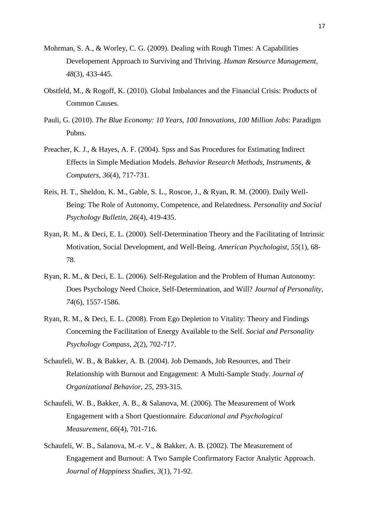- Mohrman, S. A., & Worley, C. G. (2009). Dealing with Rough Times: A Capabilities Developement Approach to Surviving and Thriving. *Human Resource Management, 48*(3), 433-445.
- Obstfeld, M., & Rogoff, K. (2010). Global Imbalances and the Financial Crisis: Products of Common Causes.
- Pauli, G. (2010). *The Blue Economy: 10 Years, 100 Innovations, 100 Million Jobs*: Paradigm Pubns.
- Preacher, K. J., & Hayes, A. F. (2004). Spss and Sas Procedures for Estimating Indirect Effects in Simple Mediation Models. *Behavior Research Methods, Instruments, & Computers, 36*(4), 717-731.
- Reis, H. T., Sheldon, K. M., Gable, S. L., Roscoe, J., & Ryan, R. M. (2000). Daily Well-Being: The Role of Autonomy, Competence, and Relatedness. *Personality and Social Psychology Bulletin, 26*(4), 419-435.
- Ryan, R. M., & Deci, E. L. (2000). Self-Determination Theory and the Facilitating of Intrinsic Motivation, Social Development, and Well-Being. *American Psychologist, 55*(1), 68- 78.
- Ryan, R. M., & Deci, E. L. (2006). Self-Regulation and the Problem of Human Autonomy: Does Psychology Need Choice, Self-Determination, and Will? *Journal of Personality, 74*(6), 1557-1586.
- Ryan, R. M., & Deci, E. L. (2008). From Ego Depletion to Vitality: Theory and Findings Concerning the Facilitation of Energy Available to the Self. *Social and Personality Psychology Compass, 2*(2), 702-717.
- Schaufeli, W. B., & Bakker, A. B. (2004). Job Demands, Job Resources, and Their Relationship with Burnout and Engagement: A Multi-Sample Study. *Journal of Organizational Behavior, 25*, 293-315.
- Schaufeli, W. B., Bakker, A. B., & Salanova, M. (2006). The Measurement of Work Engagement with a Short Questionnaire. *Educational and Psychological Measurement, 66*(4), 701-716.
- Schaufeli, W. B., Salanova, M.-r. V., & Bakker, A. B. (2002). The Measurement of Engagement and Burnout: A Two Sample Confirmatory Factor Analytic Approach. *Journal of Happiness Studies, 3*(1), 71-92.